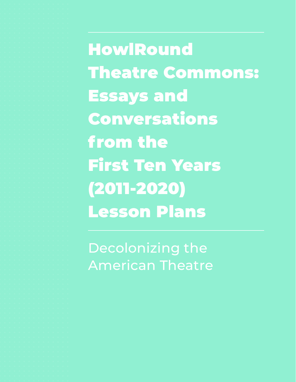HowlRound Theatre Commons: Essays and Conversations from the First Ten Years (2011-2020) Lesson Plans

Decolonizing the American Theatre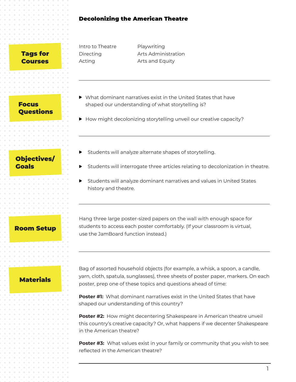### Decolonizing the American Theatre

### Tags for Courses

| Intro to Theatre | Playwriting         |
|------------------|---------------------|
| Directing        | Arts Administration |
| Acting           | Arts and Equity     |
|                  |                     |

Focus Questions

- Objectives/ Goals
- Students will analyze alternate shapes of storytelling.

shaped our understanding of what storytelling is?

What dominant narratives exist in the United States that have

▶ How might decolonizing storytelling unveil our creative capacity?

- Students will interrogate three articles relating to decolonization in theatre.
- Students will analyze dominant narratives and values in United States history and theatre.

## Room Setup

Hang three large poster-sized papers on the wall with enough space for students to access each poster comfortably. (If your classroom is virtual, use the JamBoard function instead.)

## Materials

Bag of assorted household objects (for example, a whisk, a spoon, a candle, yarn, cloth, spatula, sunglasses), three sheets of poster paper, markers. On each poster, prep one of these topics and questions ahead of time:

**Poster #1:** What dominant narratives exist in the United States that have shaped our understanding of this country?

**Poster #2:** How might decentering Shakespeare in American theatre unveil this country's creative capacity? Or, what happens if we decenter Shakespeare in the American theatre?

**Poster #3:** What values exist in your family or community that you wish to see reflected in the American theatre?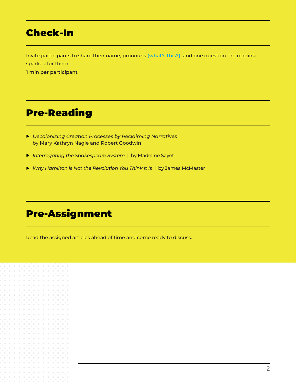## Check-In

Invite participants to share their name, pronouns **(what's this?)**, and one question the reading sparked for them.

**1 min per participant**

## Pre-Reading

- *Decolonizing Creation Processes by Reclaiming Narratives* by Mary Kathryn Nagle and Robert Goodwin
- *Interrogating the Shakespeare System* |by Madeline Sayet
- ▶ *Why Hamilton is Not the Revolution You Think It Is* | by James McMaster

# Pre-Assignment

Read the assigned articles ahead of time and come ready to discuss.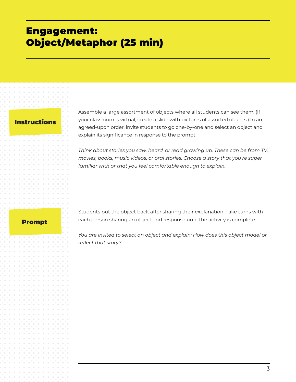## Engagement: Object/Metaphor (25 min)

### **Instructions**

Assemble a large assortment of objects where all students can see them. (If your classroom is virtual, create a slide with pictures of assorted objects.) In an agreed-upon order, invite students to go one-by-one and select an object and explain its significance in response to the prompt.

*Think about stories you saw, heard, or read growing up. These can be from TV, movies, books, music videos, or oral stories. Choose a story that you're super familiar with or that you feel comfortable enough to explain.* 

### Prompt

Students put the object back after sharing their explanation. Take turns with each person sharing an object and response until the activity is complete.

*You are invited to select an object and explain: How does this object model or reflect that story?*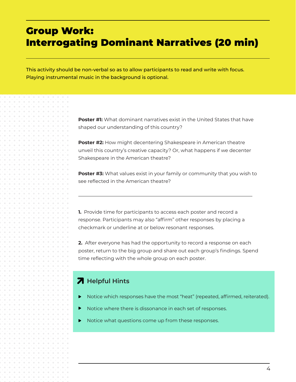## Group Work: Interrogating Dominant Narratives (20 min)

This activity should be non-verbal so as to allow participants to read and write with focus. Playing instrumental music in the background is optional.

> **Poster #1:** What dominant narratives exist in the United States that have shaped our understanding of this country?

**Poster #2:** How might decentering Shakespeare in American theatre unveil this country's creative capacity? Or, what happens if we decenter Shakespeare in the American theatre?

**Poster #3:** What values exist in your family or community that you wish to see reflected in the American theatre?

**1.** Provide time for participants to access each poster and record a response. Participants may also "affirm" other responses by placing a checkmark or underline at or below resonant responses.

**2.** After everyone has had the opportunity to record a response on each poster, return to the big group and share out each group's findings. Spend time reflecting with the whole group on each poster.

## **A** Helpful Hints

- Notice which responses have the most "heat" (repeated, affirmed, reiterated).
- Notice where there is dissonance in each set of responses.
- Notice what questions come up from these responses.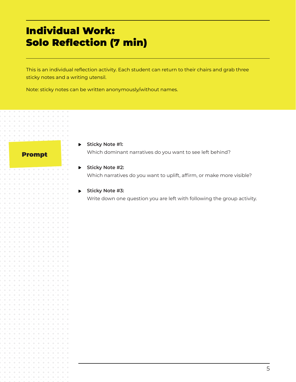# Individual Work: Solo Reflection (7 min)

This is an individual reflection activity. Each student can return to their chairs and grab three sticky notes and a writing utensil.

Note: sticky notes can be written anonymously/without names.

### Prompt

**Sticky Note #1:** Which dominant narratives do you want to see left behind?

### **Sticky Note #2:** Which narratives do you want to uplift, affirm, or make more visible?

**Sticky Note #3:** Write down one question you are left with following the group activity.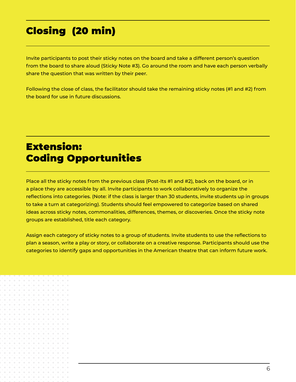# Closing (20 min)

Invite participants to post their sticky notes on the board and take a different person's question from the board to share aloud (Sticky Note #3). Go around the room and have each person verbally share the question that was written by their peer.

Following the close of class, the facilitator should take the remaining sticky notes (#1 and #2) from the board for use in future discussions.

# Extension: Coding Opportunities

Place all the sticky notes from the previous class (Post-Its #1 and #2), back on the board, or in a place they are accessible by all. Invite participants to work collaboratively to organize the reflections into categories. (Note: if the class is larger than 30 students, invite students up in groups to take a turn at categorizing). Students should feel empowered to categorize based on shared ideas across sticky notes, commonalities, differences, themes, or discoveries. Once the sticky note groups are established, title each category.

Assign each category of sticky notes to a group of students. Invite students to use the reflections to plan a season, write a play or story, or collaborate on a creative response. Participants should use the categories to identify gaps and opportunities in the American theatre that can inform future work.